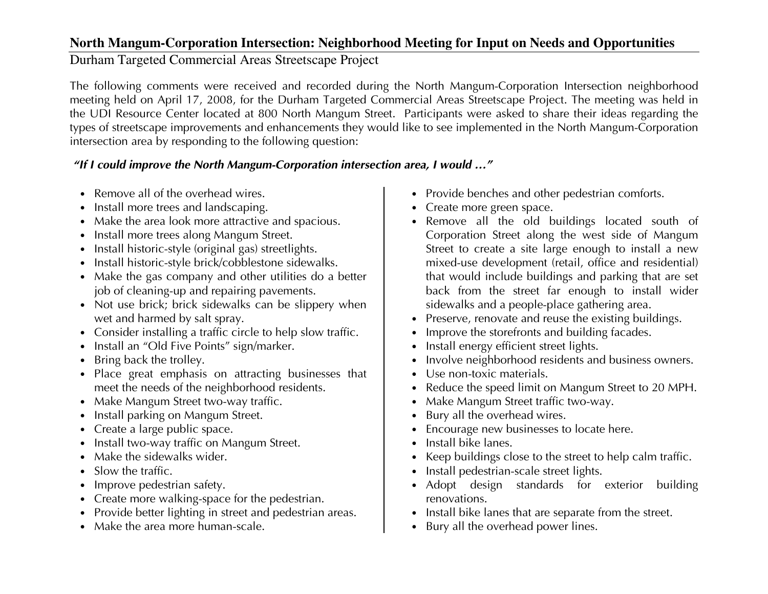## **North Mangum-Corporation Intersection: Neighborhood Meeting for Input on Needs and Opportunities**

Durham Targeted Commercial Areas Streetscape Project

The following comments were received and recorded during the North Mangum-Corporation Intersection neighborhood meeting held on April 17, 2008, for the Durham Targeted Commercial Areas Streetscape Project. The meeting was held in the UDI Resource Center located at 800 North Mangum Street. Participants were asked to share their ideas regarding the types of streetscape improvements and enhancements they would like to see implemented in the North Mangum-Corporation intersection area by responding to the following question:

## "If I could improve the North Mangum-Corporation intersection area, I would …"

- Remove all of the overhead wires.
- Install more trees and landscaping.
- Make the area look more attractive and spacious.
- Install more trees along Mangum Street.
- Install historic-style (original gas) streetlights.
- Install historic-style brick/cobblestone sidewalks.
- Make the gas company and other utilities do a better job of cleaning-up and repairing pavements.
- Not use brick; brick sidewalks can be slippery whenwet and harmed by salt spray.
- Consider installing a traffic circle to help slow traffic.
- Install an "Old Five Points" sign/marker.
- Bring back the trolley.
- Place great emphasis on attracting businesses that meet the needs of the neighborhood residents.
- Make Mangum Street two-way traffic.
- Install parking on Mangum Street.
- Create a large public space.
- Install two-way traffic on Mangum Street.
- Make the sidewalks wider.
- Slow the traffic.
- Improve pedestrian safety.
- Create more walking-space for the pedestrian.
- Provide better lighting in street and pedestrian areas.
- Make the area more human-scale.
- Provide benches and other pedestrian comforts.
- Create more green space.
- Remove all the old buildings located south of Corporation Street along the west side of Mangum Street to create a site large enough to install a new mixed-use development (retail, office and residential) that would include buildings and parking that are set back from the street far enough to install wider sidewalks and a people-place gathering area.
- Preserve, renovate and reuse the existing buildings.
- Improve the storefronts and building facades.
- Install energy efficient street lights.
- Involve neighborhood residents and business owners.
- Use non-toxic materials.
- Reduce the speed limit on Mangum Street to 20 MPH.
- Make Mangum Street traffic two-way.
- Bury all the overhead wires.
- Encourage new businesses to locate here.
- Install bike lanes.
- Keep buildings close to the street to help calm traffic.
- Install pedestrian-scale street lights.
- Adopt design standards for exterior building renovations.
- Install bike lanes that are separate from the street.
- Bury all the overhead power lines.